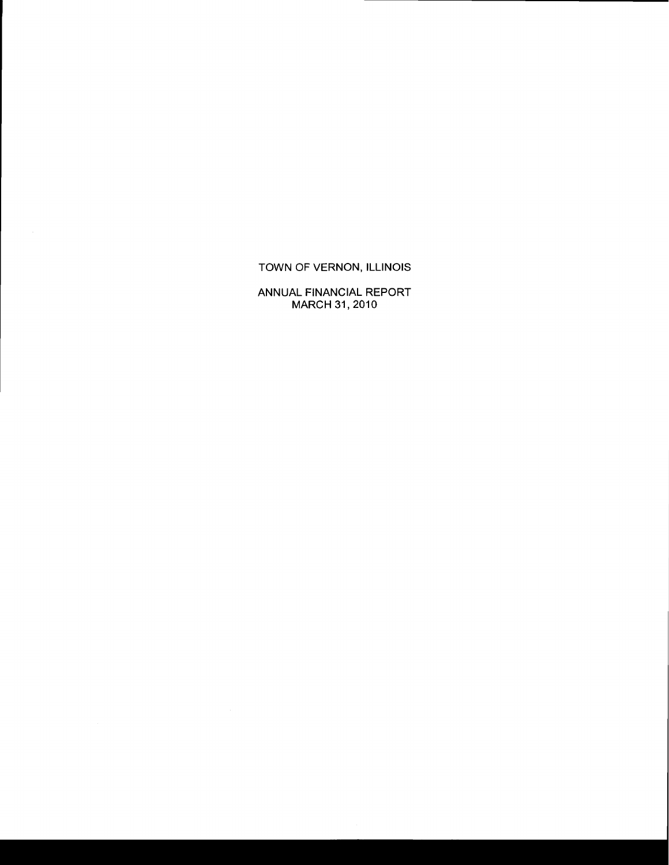## TOWN OF VERNON, ILLINOIS

ANNUAL FINANCIAL REPORT MARCH 31,2010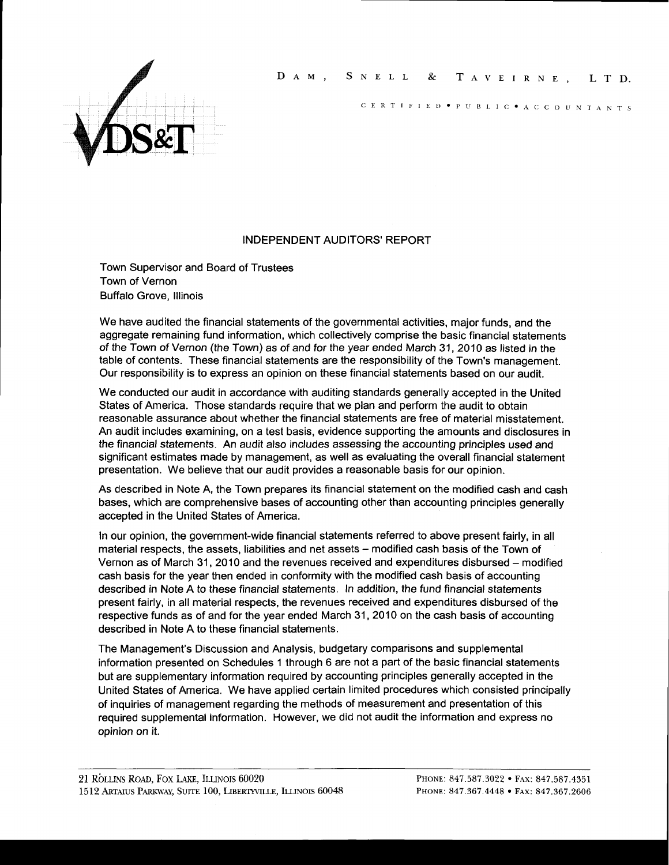## DAM, SNELL & TAVEIRNE, LTD.



CERTIFIED  $\bullet$  PUBLIC  $\bullet$  A C C O U N T A N T S

#### INDEPENDENT AUDITORS' REPORT

Town Supervisor and Board of Trustees Town of Vernon Buffalo Grove, lllinois

We have audited the financial statements of the governmental activities, major funds, and the aggregate remaining fund information, which collectively comprise the basic financial statements of the Town of Vernon (the Town) as of and for the year ended March 31 , 2010 as listed in the table of contents. These financial statements are the responsibility of the Town's management. Our responsibility is to express an opinion on these financial statements based on our audit.

We conducted our audit in accordance with auditing standards generally accepted in the United States of America. Those standards require that we plan and perform the audit to obtain reasonable assurance about whether the financial statements are free of material misstatement. An audit includes examining, on a test basis, evidence supporting the amounts and disclosures in the financial statements. An audit also includes assessing the accounting principles used and significant estimates made by management, as well as evaluating the overall financial statement presentation. We believe that our audit provides a reasonable basis for our opinion.

As described in Note A, the Town prepares its financial statement on the modified cash and cash bases, which are comprehensive bases of accounting other than accounting principles generally accepted in the United States of America.

In our opinion, the government-wide financial statements referred to above present fairly, in all material respects, the assets, liabilities and net assets - modified cash basis of the Town of Vernon as of March 31, 2010 and the revenues received and expenditures disbursed – modified cash basis for the year then ended in conformity with the modified cash basis of accounting described in Note A to these financial statements. In addition, the fund financial statements present fairly, in all material respects, the revenues received and expenditures disbursed of the respective funds as of and for the year ended March 31, 2010 on the cash basis of accounting described in Note A to these financial statements.

The Management's Discussion and Analysis, budgetary comparisons and supplemental information presented on Schedules 1 through 6 are not a part of the basic financial statements but are supplementary information required by accounting principles generally accepted in the United States of America. We have applied certain limited procedures which consisted principally of inquiries of management regarding the methods of measurement and presentation of this required supplemental information. However, we did not audit the information and express no opinion on it.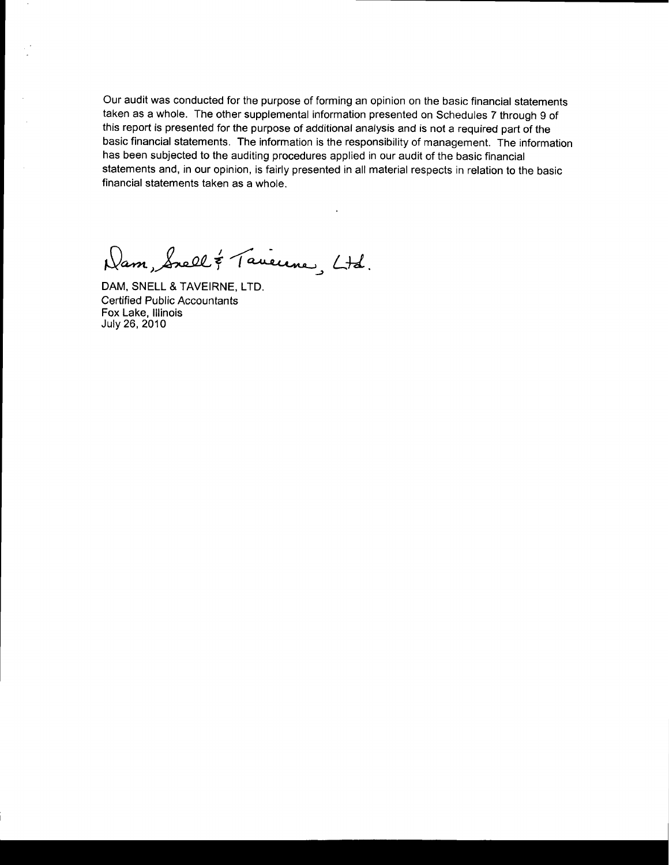Our audit was conducted for the purpose of forming an opinion on the basic financial statements taken as a whole. The other supplemental information presented on Schedules 7 through 9 of this report is presented for the purpose of additional analysis and is not a required part of the basic financial statements. The information is the responsibility of management. The information has been subjected to the auditing procedures applied in our audit of the basic financial statements and, in our opinion, is fairly presented in all material respects in relation to the basic financial statements taken as a whole.

Dam, Suell & Taueune, Ltd.

DAM, SNELL & TAVEIRNE, LTD. Certified Public Accountants Fox Lake, lllinois July 26, 2010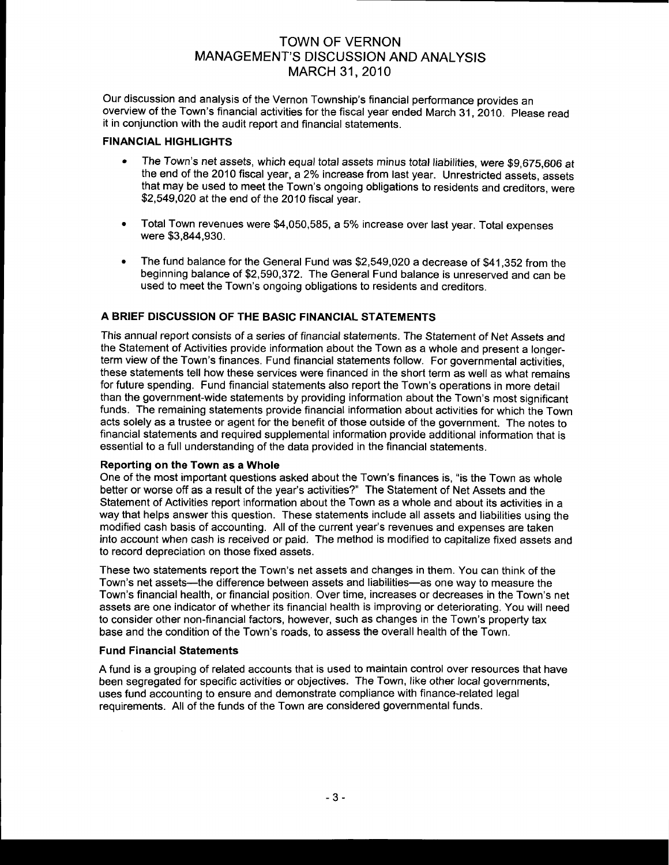Our discussion and analysis of the Vernon Township's financial performance provides an overview of the Town's financial activities for the fiscal year ended March 31,2010. Please read it in conjunction with the audit report and financial statements.

## FINANCIAL HIGHLIGHTS

- The Town's net assets, which equal total assets minus total liabilities, were \$9,675,606 at the end of the 2010 fiscal year, a 2% increase from last year. Unrestricted assets, assets that may be used to meet the Town's ongoing obligations to residents and creditors, were \$2,549,020 at the end of the 2O1O fiscal year.
- . Total Town revenues were \$4,050,595, a 5% increase over last year. Total expenses were \$3,844,930.
- The fund balance for the General Fund was  $$2,549,020$  a decrease of  $$41.352$  from the beginning balance of \$2,590,372. The General Fund balance is unreserved and can be used to meet the Town's ongoing obligations to residents and creditors.

## A BRIEF DISCUSSION OF THE BASIC FINANCIAL STATEMENTS

This annual report consists of a series of financial statements. The Statement of Net Assets and the Statement of Activities provide information about the Town as a whole and present a longerterm view of the Town's finances. Fund financial statements follow. For governmental activities, these statements tell how these services were financed in the short term as well as what remains for future spending. Fund financial statements also report the Town's operations in more detail than the government-wide statements by providing information about the Town's most significant funds. The remaining statements provide financial information about activities for which the Town acts solely as a trustee or agent for the benefit of those outside of the government. The notes to financial statements and required supplemental information provide additional information that is essential to a full understanding of the data provided in the financial statements.

## Reporting on the Town as a Whole

One of the most important questions asked about the Town's finances is, "is the Town as whole better or worse off as a result of the year's activities?" The Statement of Net Assets and the Statement of Activities report information about the Town as a whole and about its activities in a way that helps answer this question. These statements include all assets and liabilities using the modified cash basis of accounting. All of the current year's revenues and expenses are taken into account when cash is received or paid. The method is modified to capitalize fixed assets and to record depreciation on those fixed assets.

These two statements report the Town's net assets and changes in them. You can think of the Town's net assets—the difference between assets and liabilities—as one way to measure the Town's financial health, or financial position. Over time, increases or decreases in the Town's net assets are one indicator of whether its financial health is improving or deteriorating. You will need to consider other non-financial factors, however, such as changes in the Town's property tax base and the condition of the Town's roads. to assess the overall health of the Town.

## Fund Financial Statements

A fund is a grouping of related accounts that is used to maintain control over resources that have been segregated for specific activities or objectives. The Town, like other local governments, uses fund accounting to ensure and demonstrate compliance with finance'related legal requirements. All of the funds of the Town are considered governmental funds.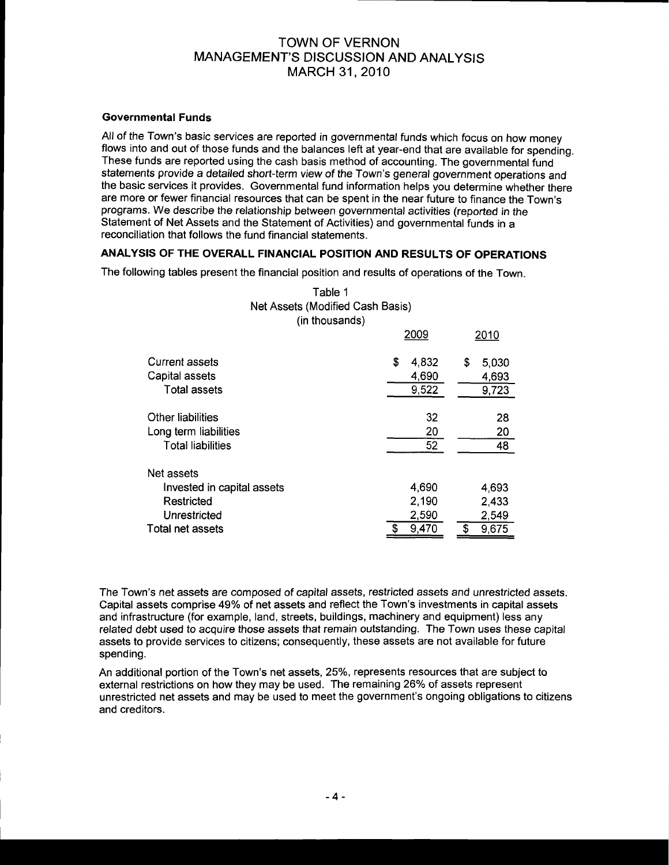## Governmental Funds

All of the Town's basic services are reported in governmental funds which focus on how money flows into and out of those funds and the balances left at year-end that are available for spending.<br>These funds are reported usi statements provide a detailed short-term view of the Town's general government operations and the basic services it provides. Governmental fund information helps you determine whether there are more or fewer financial resources that can be spent in the near future to finance the Town's programs. We describe the relationship between governmental activities (reported in the Statement of Net Assets and the Statement of Activities) and governmental funds in a reconciliation that follows the fund financial statements.

## ANALYSIS OF THE OVERALL FINANCIAL POSITION AND RESULTS OF OPERATIONS

The following tables present the financial position and results of operations of the Town.

|                            |    | 2009  | 2010        |  |
|----------------------------|----|-------|-------------|--|
| <b>Current assets</b>      | S  | 4,832 | \$<br>5,030 |  |
| Capital assets             |    | 4,690 | 4,693       |  |
| <b>Total assets</b>        |    | 9,522 | 9,723       |  |
| Other liabilities          |    | 32    | 28          |  |
| Long term liabilities      |    | 20    | 20          |  |
| <b>Total liabilities</b>   |    | 52    | 48          |  |
| Net assets                 |    |       |             |  |
| Invested in capital assets |    | 4,690 | 4,693       |  |
| Restricted                 |    | 2,190 | 2,433       |  |
| Unrestricted               |    | 2,590 | 2,549       |  |
| Total net assets           | \$ | 9,470 | 9,675<br>\$ |  |

Table 1 Net Assets (Modified Cash Basis) (in thousands)

The Town's net assets are composed of capital assets, restricted assets and unrestricted assets. Capital assets comprise 49% of net assets and reflect the Town's investments in capital assets and infrastructure (for example, land, streets, buildings, machinery and equipment) less any related debt used to acquire those assets that remain outstanding. The Town uses these capital assets to provide services to citizens; consequently, these assets are not available for future spending.

An additional portion of the Town's net assets, 25%, represents resources that are subject to external restrictions on how they may be used. The remaining 26% of assets represent unrestricted net assets and may be used to meet the government's ongoing obligations to citizens and creditors.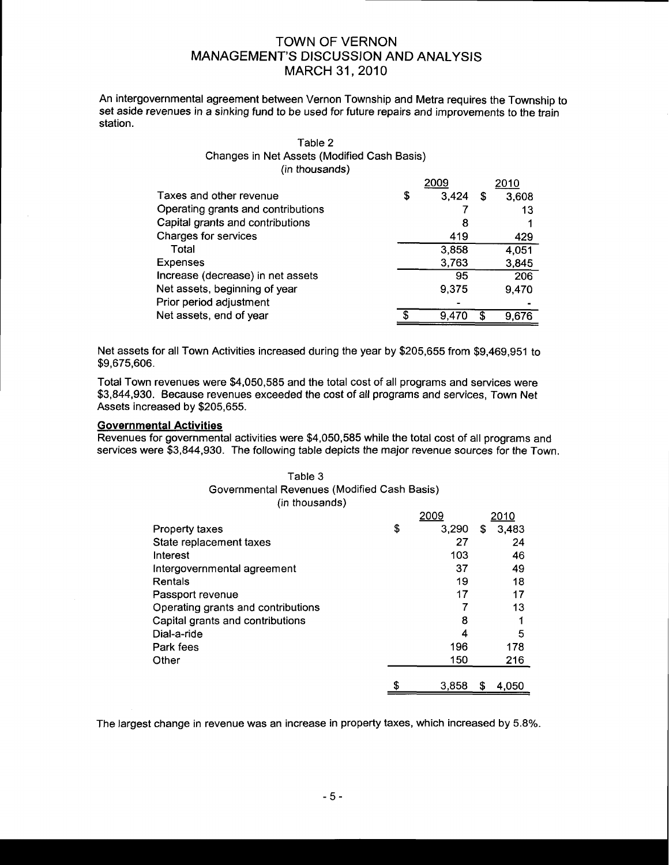An intergovernmental agreement between Vernon Township and Metra requires the Township to set aside revenues in a sinking fund to be used for future repairs and improvements to the train station.

## Table 2 Changes in Net Assets (Modified Cash Basis) (in thousands)

|                                    |   | ാറററ  |    | 2010  |
|------------------------------------|---|-------|----|-------|
| Taxes and other revenue            | S | 3,424 | \$ | 3,608 |
| Operating grants and contributions |   |       |    | 13    |
| Capital grants and contributions   |   | 8     |    |       |
| Charges for services               |   | 419   |    | 429   |
| Total                              |   | 3,858 |    | 4,051 |
| <b>Expenses</b>                    |   | 3,763 |    | 3,845 |
| Increase (decrease) in net assets  |   | 95    |    | 206   |
| Net assets, beginning of year      |   | 9,375 |    | 9.470 |
| Prior period adjustment            |   |       |    |       |
| Net assets, end of year            |   | 9.47  | ፍ  | 9.676 |

Net assets for all Town Activities increased during the year by \$205,655 from \$9,469,951 to \$9,675,606.

Total Town revenues were \$4,050,585 and the total cost of all programs and services were \$3,844,930. Because revenues exceeded the cost of all programs and services, Town Net Assets increased by \$205,655.

#### Governmental Activities

Revenues for governmental activities were \$4,050,585 while the total cost of all programs and services were \$3,844,930. The following table depicts the major revenue sources for the Town.

#### Table 3 Governmental Revenues (Modified Cash Basis) (in thousands)

|                                    | 2009        |   | 2010  |
|------------------------------------|-------------|---|-------|
| <b>Property taxes</b>              | \$<br>3.290 | S | 3,483 |
| State replacement taxes            | 27          |   | 24    |
| Interest                           | 103         |   | 46    |
| Intergovernmental agreement        | 37          |   | 49    |
| Rentals                            | 19          |   | 18    |
| Passport revenue                   | 17          |   | 17    |
| Operating grants and contributions |             |   | 13    |
| Capital grants and contributions   | 8           |   |       |
| Dial-a-ride                        | 4           |   | 5     |
| Park fees                          | 196         |   | 178   |
| Other                              | 150         |   | 216   |
|                                    |             |   |       |
|                                    | 3.858       | S | 4.050 |

The largest change in revenue was an increase in property taxes, which increased by 5.8%.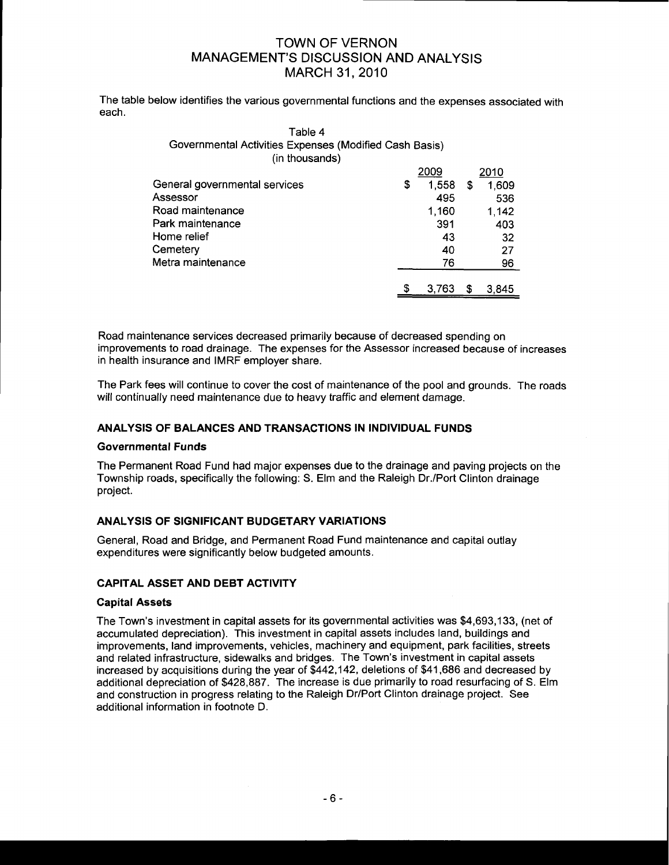The table below identifies the various governmental functions and the expenses associated with each.

| Table 4<br>Governmental Activities Expenses (Modified Cash Basis)<br>(in thousands) |   |       |   |       |
|-------------------------------------------------------------------------------------|---|-------|---|-------|
|                                                                                     |   | 2009  |   | 2010  |
| General governmental services                                                       | S | 1,558 | S | 1,609 |
| Assessor                                                                            |   | 495   |   | 536   |
| Road maintenance                                                                    |   | 1,160 |   | 1.142 |
| Park maintenance                                                                    |   | 391   |   | 403   |
| Home relief                                                                         |   | 43    |   | 32    |
| Cemetery                                                                            |   | 40    |   | 27    |

Road maintenance services decreased primarily because of decreased spending on improvements to road drainage. The expenses for the Assessor increased because of increases in health insurance and IMRF employer share.

76

\$

3,763 \$ 3,845

96

The Park fees will continue to cover the cost of maintenance of the pool and grounds. The roads will continually need maintenance due to heavy traffic and element damage.

## ANALYSIS OF BALANCES AND TRANSACTIONS IN INDIVIDUAL FUNDS

## Governmental Funds

The Permanent Road Fund had major expenses due to the drainage and paving projects on the Township roads, specifically the following: S. Elm and the Raleigh Dr./Port Clinton drainage project.

## ANALYSIS OF SIGNIFICANT BUDGETARY VARIATIONS

General, Road and Bridge, and Permanent Road Fund maintenance and capital outlay expenditures were significantly below budgeted amounts.

## GAPITAL ASSET AND DEBT ACTIVITY

Metra maintenance

## **Capital Assets**

The Town's investment in capital assets for its governmental activities was \$4,693,133, (net of accumulated depreciation). This investment in capital assets includes land, buildings and improvements, land improvements, vehicles, machinery and equipment, park facilities, streets and related infrastructure, sidewalks and bridges. The Town's investment in capital assets increased by acquisitions during the year of \$442,142, deletions of \$41,686 and decreased by additional depreciation of \$428,887. The increase is due primarily to road resurfacing of S. Elm and construction in progress relating to the Raleigh Dr/Port Clinton drainage project. See additional information in footnote D.